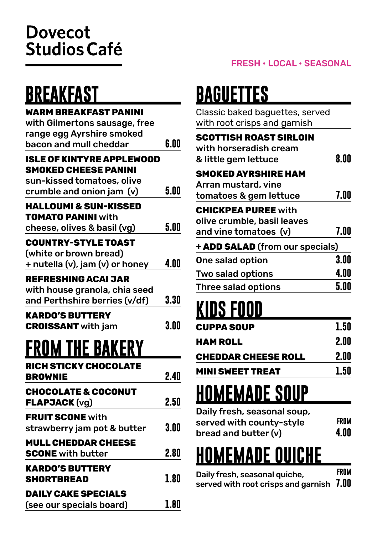#### **Dovecot Studios Café**

## **BREAKFAST**

#### **WARM BREAKFAST PANINI**

| with Gilmertons sausage, free    |      |
|----------------------------------|------|
| range egg Ayrshire smoked        |      |
| bacon and mull cheddar           | 6.00 |
| <b>ISLE OF KINTYRE APPLEWOOD</b> |      |
| <b>SMOKED CHEESE PANINI</b>      |      |
| sun-kissed tomatoes, olive       |      |
| crumble and onion jam (v)        | 5.00 |
|                                  |      |
| <b>HALLOUMI &amp; SUN-KISSED</b> |      |
| <b>TOMATO PANINI</b> with        |      |
| cheese, olives & basil (vg)      | 5.00 |
| <b>COUNTRY-STYLE TOAST</b>       |      |
| (white or brown bread)           |      |
| + nutella (v), jam (v) or honey  | 4.00 |
| <b>REFRESHING ACAI JAR</b>       |      |
| with house granola, chia seed    |      |
| and Perthshire berries (v/df)    | 3.30 |
|                                  |      |
| <b>KARDO'S BUTTERY</b>           |      |
| <b>CROISSANT</b> with jam        | 3.00 |
|                                  |      |
| <b>FROM THE BAKERY</b>           |      |
| <b>RICH STICKY CHOCOLATE</b>     |      |
| <b>BROWNIE</b>                   | 2.40 |
| <b>CHOCOLATE &amp; COCONUT</b>   |      |
| <b>FLAPJACK (vg)</b>             | 2.50 |
|                                  |      |
| <b>FRUIT SCONE with</b>          |      |
| strawberry jam pot & butter      | 3.00 |
| <b>MULL CHEDDAR CHEESE</b>       |      |
| <b>SCONE</b> with butter         | 2.80 |
| <b>KARDO'S BUTTERY</b>           |      |
| <b>SHORTBREAD</b>                | 1.80 |
|                                  |      |
| <b>DAILY CAKE SPECIALS</b>       |      |
| (see our specials board)         | 1.80 |

## **BAGUETTES**

| Classic baked baguettes, served<br>with root crisps and garnish                    |              |
|------------------------------------------------------------------------------------|--------------|
| <b>SCOTTISH ROAST SIRLOIN</b><br>with horseradish cream<br>& little gem lettuce    | 8.00         |
| <b>SMOKED AYRSHIRE HAM</b><br>Arran mustard, vine<br>tomatoes & gem lettuce        | 7.00         |
| <b>CHICKPEA PUREE with</b><br>olive crumble, basil leaves<br>and vine tomatoes (v) | 7.00         |
| + ADD SALAD (from our specials)                                                    |              |
| One salad option<br>Two salad options                                              | 3.00<br>4.00 |
| <b>Three salad options</b>                                                         | 5.00         |

## **KIDS FOOD**

| CUPPA SOUP          | 1.50 |
|---------------------|------|
| HAM ROLL            | 2.00 |
| CHEDDAR CHEESE ROLL | 2.00 |
| MINI SWEET TREAT    | 1.50 |

## **HOMEMADE SOUP**

| Daily fresh, seasonal soup, |      |
|-----------------------------|------|
| served with county-style    | FROM |
| bread and butter (v)        | 4.00 |

## **HOMEMADE QUICHE**

| Daily fresh, seasonal quiche,            | FROM |
|------------------------------------------|------|
| served with root crisps and garnish 7.00 |      |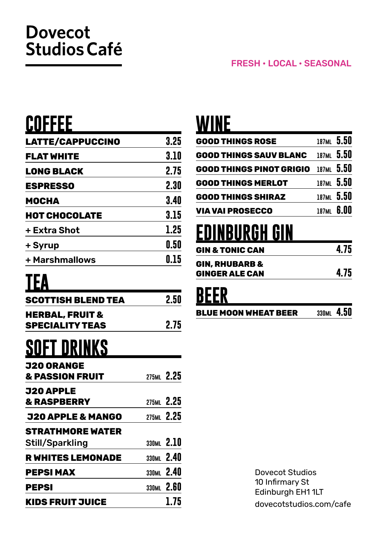#### **Dovecot Studios Café**

### **COFFEE**

| 3.25 |
|------|
| 3.10 |
| 2.75 |
| 2.30 |
| 3.40 |
| 3.15 |
| 1.25 |
| 0.50 |
| 0.15 |
|      |

## **TEA**

| SCOTTISH BLEND TEA                                   | 2.50       |
|------------------------------------------------------|------------|
| <b>HERBAL, FRUIT &amp;</b><br><b>SPECIALITY TEAS</b> | 2.75       |
| <b>SOFT DRINKS</b>                                   |            |
| <b>J20 ORANGE</b><br><b>&amp; PASSION FRUIT</b>      | 275ML 2.25 |
| J20 APPLE<br><b>&amp; RASPBERRY</b>                  | 275ML 2.25 |
| <b>J20 APPLE &amp; MANGO</b>                         | 275ML 2.25 |
| <b>STRATHMORE WATER</b>                              |            |
| Still/Sparkling                                      | 330ML 2.10 |
| <b>R WHITES LEMONADE</b>                             | 330ML 2.40 |
| <b>PEPSI MAX</b>                                     | 330ML 2.40 |
| <b>PEPSI</b>                                         | 330ML 2.60 |
| <b>KIDS FRUIT JUICE</b>                              | 1.75       |

### **WINE**

| <b>GOOD THINGS ROSE</b>         | 187ML 5.50 |
|---------------------------------|------------|
| <b>GOOD THINGS SAUV BLANC</b>   | 187ML 5.50 |
| <b>GOOD THINGS PINOT GRIGIO</b> | 187ML 5.50 |
| <b>GOOD THINGS MERLOT</b>       | 187ML 5.50 |
| <b>GOOD THINGS SHIRAZ</b>       | 187ML 5.50 |
| <b>VIA VAI PROSECCO</b>         | 187ML 6.00 |

## **EDINBURGH GIN**

| GIN & TONIC CAN | 4.75 |
|-----------------|------|
| GIN, RHUBARB &  |      |
| GINGER ALE CAN  | 4.75 |
|                 |      |

## **BEER**

**BLUE MOON WHEAT BEER 330ml 4.50** 

Dovecot Studios 10 Infirmary St Edinburgh EH1 1LT dovecotstudios.com/cafe